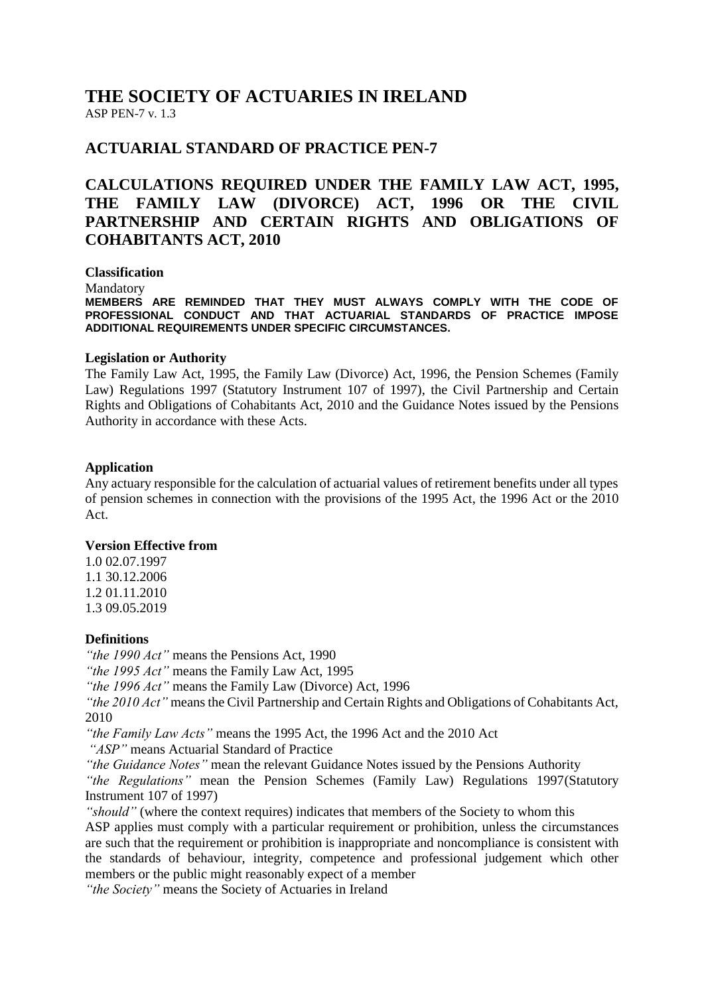# **THE SOCIETY OF ACTUARIES IN IRELAND** ASP PEN-7 v. 1.3

# **ACTUARIAL STANDARD OF PRACTICE PEN-7**

# **CALCULATIONS REQUIRED UNDER THE FAMILY LAW ACT, 1995, THE FAMILY LAW (DIVORCE) ACT, 1996 OR THE CIVIL PARTNERSHIP AND CERTAIN RIGHTS AND OBLIGATIONS OF COHABITANTS ACT, 2010**

**Classification** Mandatory **MEMBERS ARE REMINDED THAT THEY MUST ALWAYS COMPLY WITH THE CODE OF PROFESSIONAL CONDUCT AND THAT ACTUARIAL STANDARDS OF PRACTICE IMPOSE ADDITIONAL REQUIREMENTS UNDER SPECIFIC CIRCUMSTANCES.**

### **Legislation or Authority**

The Family Law Act, 1995, the Family Law (Divorce) Act, 1996, the Pension Schemes (Family Law) Regulations 1997 (Statutory Instrument 107 of 1997), the Civil Partnership and Certain Rights and Obligations of Cohabitants Act, 2010 and the Guidance Notes issued by the Pensions Authority in accordance with these Acts.

### **Application**

Any actuary responsible for the calculation of actuarial values of retirement benefits under all types of pension schemes in connection with the provisions of the 1995 Act, the 1996 Act or the 2010 Act.

### **Version Effective from**

1.0 02.07.1997 1.1 30.12.2006 1.2 01.11.2010 1.3 09.05.2019

### **Definitions**

*"the 1990 Act"* means the Pensions Act, 1990

*"the 1995 Act"* means the Family Law Act, 1995

*"the 1996 Act"* means the Family Law (Divorce) Act, 1996

*"the 2010 Act"* means the Civil Partnership and Certain Rights and Obligations of Cohabitants Act, 2010

*"the Family Law Acts"* means the 1995 Act, the 1996 Act and the 2010 Act

*"ASP"* means Actuarial Standard of Practice

*"the Guidance Notes"* mean the relevant Guidance Notes issued by the Pensions Authority *"the Regulations"* mean the Pension Schemes (Family Law) Regulations 1997(Statutory Instrument 107 of 1997)

*"should"* (where the context requires) indicates that members of the Society to whom this ASP applies must comply with a particular requirement or prohibition, unless the circumstances are such that the requirement or prohibition is inappropriate and noncompliance is consistent with the standards of behaviour, integrity, competence and professional judgement which other members or the public might reasonably expect of a member

*"the Society"* means the Society of Actuaries in Ireland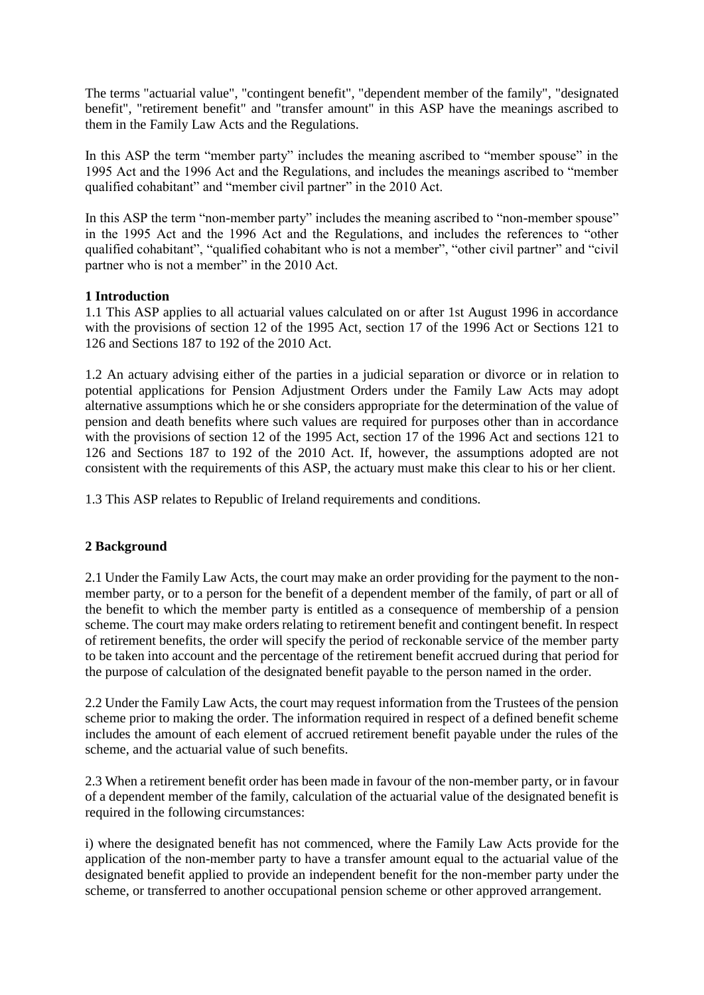The terms "actuarial value", "contingent benefit", "dependent member of the family", "designated benefit", "retirement benefit" and "transfer amount" in this ASP have the meanings ascribed to them in the Family Law Acts and the Regulations.

In this ASP the term "member party" includes the meaning ascribed to "member spouse" in the 1995 Act and the 1996 Act and the Regulations, and includes the meanings ascribed to "member qualified cohabitant" and "member civil partner" in the 2010 Act.

In this ASP the term "non-member party" includes the meaning ascribed to "non-member spouse" in the 1995 Act and the 1996 Act and the Regulations, and includes the references to "other qualified cohabitant", "qualified cohabitant who is not a member", "other civil partner" and "civil partner who is not a member" in the 2010 Act.

# **1 Introduction**

1.1 This ASP applies to all actuarial values calculated on or after 1st August 1996 in accordance with the provisions of section 12 of the 1995 Act, section 17 of the 1996 Act or Sections 121 to 126 and Sections 187 to 192 of the 2010 Act.

1.2 An actuary advising either of the parties in a judicial separation or divorce or in relation to potential applications for Pension Adjustment Orders under the Family Law Acts may adopt alternative assumptions which he or she considers appropriate for the determination of the value of pension and death benefits where such values are required for purposes other than in accordance with the provisions of section 12 of the 1995 Act, section 17 of the 1996 Act and sections 121 to 126 and Sections 187 to 192 of the 2010 Act. If, however, the assumptions adopted are not consistent with the requirements of this ASP, the actuary must make this clear to his or her client.

1.3 This ASP relates to Republic of Ireland requirements and conditions.

# **2 Background**

2.1 Under the Family Law Acts, the court may make an order providing for the payment to the nonmember party, or to a person for the benefit of a dependent member of the family, of part or all of the benefit to which the member party is entitled as a consequence of membership of a pension scheme. The court may make orders relating to retirement benefit and contingent benefit. In respect of retirement benefits, the order will specify the period of reckonable service of the member party to be taken into account and the percentage of the retirement benefit accrued during that period for the purpose of calculation of the designated benefit payable to the person named in the order.

2.2 Under the Family Law Acts, the court may request information from the Trustees of the pension scheme prior to making the order. The information required in respect of a defined benefit scheme includes the amount of each element of accrued retirement benefit payable under the rules of the scheme, and the actuarial value of such benefits.

2.3 When a retirement benefit order has been made in favour of the non-member party, or in favour of a dependent member of the family, calculation of the actuarial value of the designated benefit is required in the following circumstances:

i) where the designated benefit has not commenced, where the Family Law Acts provide for the application of the non-member party to have a transfer amount equal to the actuarial value of the designated benefit applied to provide an independent benefit for the non-member party under the scheme, or transferred to another occupational pension scheme or other approved arrangement.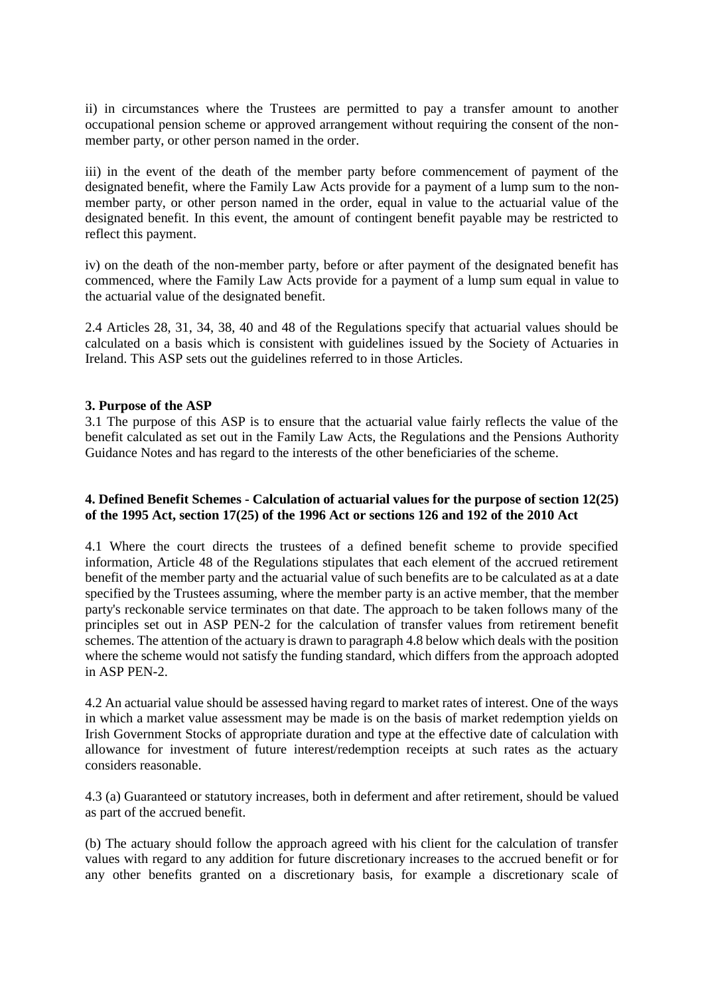ii) in circumstances where the Trustees are permitted to pay a transfer amount to another occupational pension scheme or approved arrangement without requiring the consent of the nonmember party, or other person named in the order.

iii) in the event of the death of the member party before commencement of payment of the designated benefit, where the Family Law Acts provide for a payment of a lump sum to the nonmember party, or other person named in the order, equal in value to the actuarial value of the designated benefit. In this event, the amount of contingent benefit payable may be restricted to reflect this payment.

iv) on the death of the non-member party, before or after payment of the designated benefit has commenced, where the Family Law Acts provide for a payment of a lump sum equal in value to the actuarial value of the designated benefit.

2.4 Articles 28, 31, 34, 38, 40 and 48 of the Regulations specify that actuarial values should be calculated on a basis which is consistent with guidelines issued by the Society of Actuaries in Ireland. This ASP sets out the guidelines referred to in those Articles.

### **3. Purpose of the ASP**

3.1 The purpose of this ASP is to ensure that the actuarial value fairly reflects the value of the benefit calculated as set out in the Family Law Acts, the Regulations and the Pensions Authority Guidance Notes and has regard to the interests of the other beneficiaries of the scheme.

# **4. Defined Benefit Schemes - Calculation of actuarial values for the purpose of section 12(25) of the 1995 Act, section 17(25) of the 1996 Act or sections 126 and 192 of the 2010 Act**

4.1 Where the court directs the trustees of a defined benefit scheme to provide specified information, Article 48 of the Regulations stipulates that each element of the accrued retirement benefit of the member party and the actuarial value of such benefits are to be calculated as at a date specified by the Trustees assuming, where the member party is an active member, that the member party's reckonable service terminates on that date. The approach to be taken follows many of the principles set out in ASP PEN-2 for the calculation of transfer values from retirement benefit schemes. The attention of the actuary is drawn to paragraph 4.8 below which deals with the position where the scheme would not satisfy the funding standard, which differs from the approach adopted in ASP PEN-2.

4.2 An actuarial value should be assessed having regard to market rates of interest. One of the ways in which a market value assessment may be made is on the basis of market redemption yields on Irish Government Stocks of appropriate duration and type at the effective date of calculation with allowance for investment of future interest/redemption receipts at such rates as the actuary considers reasonable.

4.3 (a) Guaranteed or statutory increases, both in deferment and after retirement, should be valued as part of the accrued benefit.

(b) The actuary should follow the approach agreed with his client for the calculation of transfer values with regard to any addition for future discretionary increases to the accrued benefit or for any other benefits granted on a discretionary basis, for example a discretionary scale of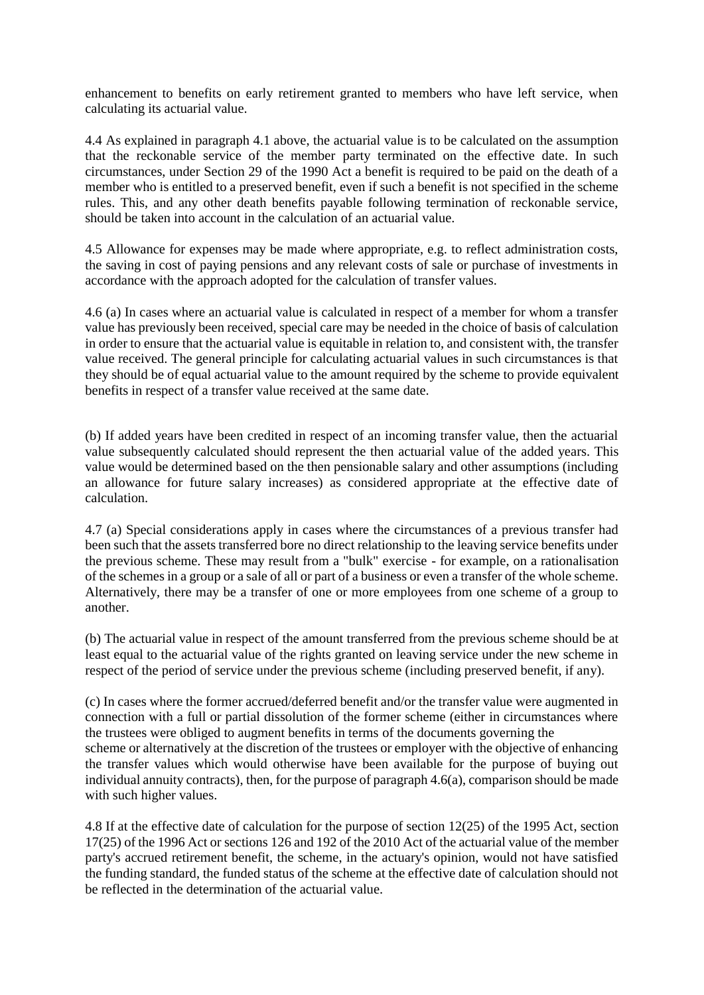enhancement to benefits on early retirement granted to members who have left service, when calculating its actuarial value.

4.4 As explained in paragraph 4.1 above, the actuarial value is to be calculated on the assumption that the reckonable service of the member party terminated on the effective date. In such circumstances, under Section 29 of the 1990 Act a benefit is required to be paid on the death of a member who is entitled to a preserved benefit, even if such a benefit is not specified in the scheme rules. This, and any other death benefits payable following termination of reckonable service, should be taken into account in the calculation of an actuarial value.

4.5 Allowance for expenses may be made where appropriate, e.g. to reflect administration costs, the saving in cost of paying pensions and any relevant costs of sale or purchase of investments in accordance with the approach adopted for the calculation of transfer values.

4.6 (a) In cases where an actuarial value is calculated in respect of a member for whom a transfer value has previously been received, special care may be needed in the choice of basis of calculation in order to ensure that the actuarial value is equitable in relation to, and consistent with, the transfer value received. The general principle for calculating actuarial values in such circumstances is that they should be of equal actuarial value to the amount required by the scheme to provide equivalent benefits in respect of a transfer value received at the same date.

(b) If added years have been credited in respect of an incoming transfer value, then the actuarial value subsequently calculated should represent the then actuarial value of the added years. This value would be determined based on the then pensionable salary and other assumptions (including an allowance for future salary increases) as considered appropriate at the effective date of calculation.

4.7 (a) Special considerations apply in cases where the circumstances of a previous transfer had been such that the assets transferred bore no direct relationship to the leaving service benefits under the previous scheme. These may result from a "bulk" exercise - for example, on a rationalisation of the schemes in a group or a sale of all or part of a business or even a transfer of the whole scheme. Alternatively, there may be a transfer of one or more employees from one scheme of a group to another.

(b) The actuarial value in respect of the amount transferred from the previous scheme should be at least equal to the actuarial value of the rights granted on leaving service under the new scheme in respect of the period of service under the previous scheme (including preserved benefit, if any).

(c) In cases where the former accrued/deferred benefit and/or the transfer value were augmented in connection with a full or partial dissolution of the former scheme (either in circumstances where the trustees were obliged to augment benefits in terms of the documents governing the scheme or alternatively at the discretion of the trustees or employer with the objective of enhancing the transfer values which would otherwise have been available for the purpose of buying out individual annuity contracts), then, for the purpose of paragraph 4.6(a), comparison should be made with such higher values.

4.8 If at the effective date of calculation for the purpose of section 12(25) of the 1995 Act, section 17(25) of the 1996 Act or sections 126 and 192 of the 2010 Act of the actuarial value of the member party's accrued retirement benefit, the scheme, in the actuary's opinion, would not have satisfied the funding standard, the funded status of the scheme at the effective date of calculation should not be reflected in the determination of the actuarial value.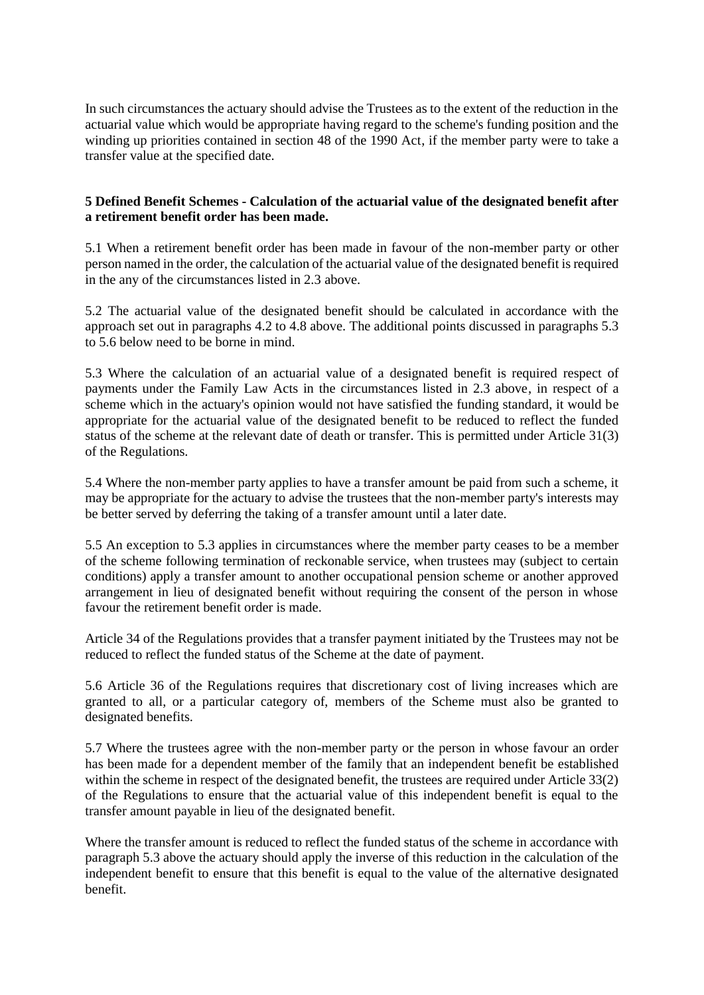In such circumstances the actuary should advise the Trustees as to the extent of the reduction in the actuarial value which would be appropriate having regard to the scheme's funding position and the winding up priorities contained in section 48 of the 1990 Act, if the member party were to take a transfer value at the specified date.

# **5 Defined Benefit Schemes - Calculation of the actuarial value of the designated benefit after a retirement benefit order has been made.**

5.1 When a retirement benefit order has been made in favour of the non-member party or other person named in the order, the calculation of the actuarial value of the designated benefit is required in the any of the circumstances listed in 2.3 above.

5.2 The actuarial value of the designated benefit should be calculated in accordance with the approach set out in paragraphs 4.2 to 4.8 above. The additional points discussed in paragraphs 5.3 to 5.6 below need to be borne in mind.

5.3 Where the calculation of an actuarial value of a designated benefit is required respect of payments under the Family Law Acts in the circumstances listed in 2.3 above, in respect of a scheme which in the actuary's opinion would not have satisfied the funding standard, it would be appropriate for the actuarial value of the designated benefit to be reduced to reflect the funded status of the scheme at the relevant date of death or transfer. This is permitted under Article 31(3) of the Regulations.

5.4 Where the non-member party applies to have a transfer amount be paid from such a scheme, it may be appropriate for the actuary to advise the trustees that the non-member party's interests may be better served by deferring the taking of a transfer amount until a later date.

5.5 An exception to 5.3 applies in circumstances where the member party ceases to be a member of the scheme following termination of reckonable service, when trustees may (subject to certain conditions) apply a transfer amount to another occupational pension scheme or another approved arrangement in lieu of designated benefit without requiring the consent of the person in whose favour the retirement benefit order is made.

Article 34 of the Regulations provides that a transfer payment initiated by the Trustees may not be reduced to reflect the funded status of the Scheme at the date of payment.

5.6 Article 36 of the Regulations requires that discretionary cost of living increases which are granted to all, or a particular category of, members of the Scheme must also be granted to designated benefits.

5.7 Where the trustees agree with the non-member party or the person in whose favour an order has been made for a dependent member of the family that an independent benefit be established within the scheme in respect of the designated benefit, the trustees are required under Article 33(2) of the Regulations to ensure that the actuarial value of this independent benefit is equal to the transfer amount payable in lieu of the designated benefit.

Where the transfer amount is reduced to reflect the funded status of the scheme in accordance with paragraph 5.3 above the actuary should apply the inverse of this reduction in the calculation of the independent benefit to ensure that this benefit is equal to the value of the alternative designated benefit.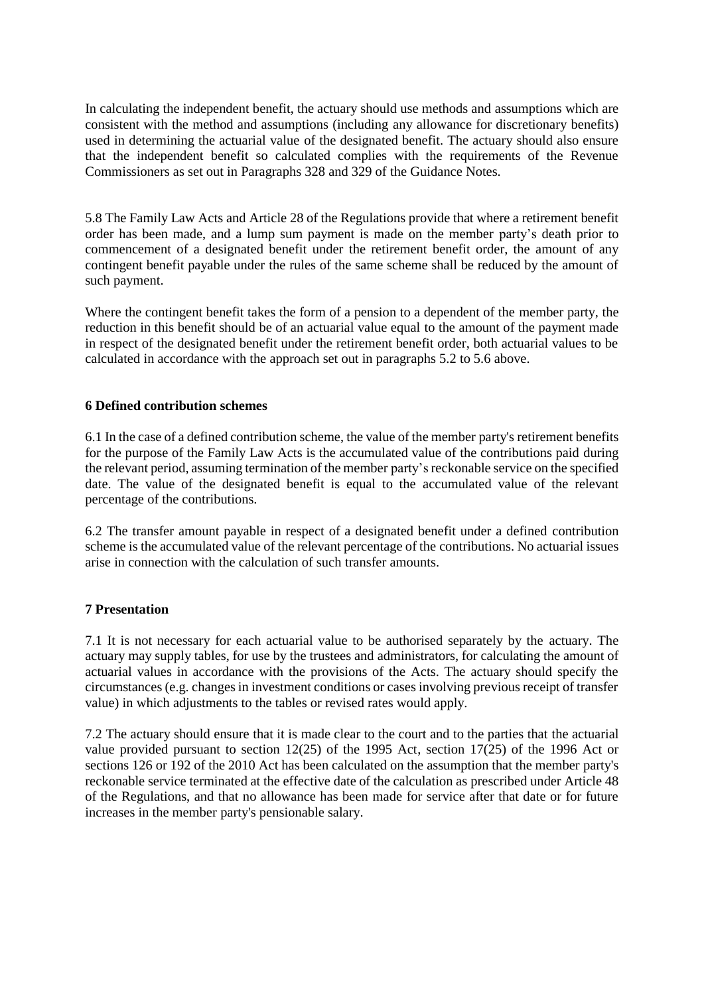In calculating the independent benefit, the actuary should use methods and assumptions which are consistent with the method and assumptions (including any allowance for discretionary benefits) used in determining the actuarial value of the designated benefit. The actuary should also ensure that the independent benefit so calculated complies with the requirements of the Revenue Commissioners as set out in Paragraphs 328 and 329 of the Guidance Notes.

5.8 The Family Law Acts and Article 28 of the Regulations provide that where a retirement benefit order has been made, and a lump sum payment is made on the member party's death prior to commencement of a designated benefit under the retirement benefit order, the amount of any contingent benefit payable under the rules of the same scheme shall be reduced by the amount of such payment.

Where the contingent benefit takes the form of a pension to a dependent of the member party, the reduction in this benefit should be of an actuarial value equal to the amount of the payment made in respect of the designated benefit under the retirement benefit order, both actuarial values to be calculated in accordance with the approach set out in paragraphs 5.2 to 5.6 above.

# **6 Defined contribution schemes**

6.1 In the case of a defined contribution scheme, the value of the member party's retirement benefits for the purpose of the Family Law Acts is the accumulated value of the contributions paid during the relevant period, assuming termination of the member party's reckonable service on the specified date. The value of the designated benefit is equal to the accumulated value of the relevant percentage of the contributions.

6.2 The transfer amount payable in respect of a designated benefit under a defined contribution scheme is the accumulated value of the relevant percentage of the contributions. No actuarial issues arise in connection with the calculation of such transfer amounts.

# **7 Presentation**

7.1 It is not necessary for each actuarial value to be authorised separately by the actuary. The actuary may supply tables, for use by the trustees and administrators, for calculating the amount of actuarial values in accordance with the provisions of the Acts. The actuary should specify the circumstances (e.g. changes in investment conditions or cases involving previous receipt of transfer value) in which adjustments to the tables or revised rates would apply.

7.2 The actuary should ensure that it is made clear to the court and to the parties that the actuarial value provided pursuant to section 12(25) of the 1995 Act, section 17(25) of the 1996 Act or sections 126 or 192 of the 2010 Act has been calculated on the assumption that the member party's reckonable service terminated at the effective date of the calculation as prescribed under Article 48 of the Regulations, and that no allowance has been made for service after that date or for future increases in the member party's pensionable salary.